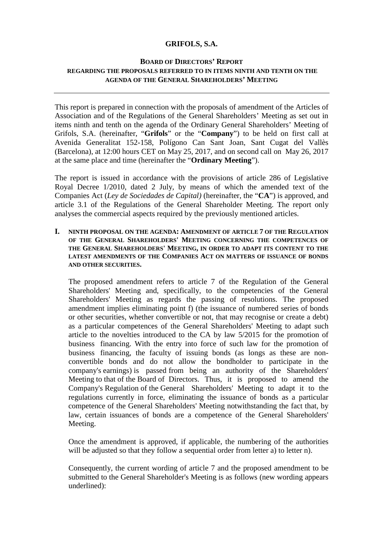# **GRIFOLS, S.A.**

# **BOARD OF DIRECTORS' REPORT REGARDING THE PROPOSALS REFERRED TO IN ITEMS NINTH AND TENTH ON THE AGENDA OF THE GENERAL SHAREHOLDERS' MEETING**

This report is prepared in connection with the proposals of amendment of the Articles of Association and of the Regulations of the General Shareholders' Meeting as set out in items ninth and tenth on the agenda of the Ordinary General Shareholders' Meeting of Grifols, S.A. (hereinafter, "**Grifols**" or the "**Company**") to be held on first call at Avenida Generalitat 152-158, Polígono Can Sant Joan, Sant Cugat del Vallès (Barcelona), at 12:00 hours CET on May 25, 2017, and on second call on May 26, 2017 at the same place and time (hereinafter the "**Ordinary Meeting**").

The report is issued in accordance with the provisions of article 286 of Legislative Royal Decree 1/2010, dated 2 July, by means of which the amended text of the Companies Act (*Ley de Sociedades de Capital)* (hereinafter, the "**CA**") is approved, and article 3.1 of the Regulations of the General Shareholder Meeting. The report only analyses the commercial aspects required by the previously mentioned articles.

## **I. NINTH PROPOSAL ON THE AGENDA: AMENDMENT OF ARTICLE 7 OF THE REGULATION OF THE GENERAL SHAREHOLDERS' MEETING CONCERNING THE COMPETENCES OF THE GENERAL SHAREHOLDERS' MEETING, IN ORDER TO ADAPT ITS CONTENT TO THE LATEST AMENDMENTS OF THE COMPANIES ACT ON MATTERS OF ISSUANCE OF BONDS AND OTHER SECURITIES.**

 The proposed amendment refers to article 7 of the Regulation of the General Shareholders' Meeting and, specifically, to the competencies of the General Shareholders' Meeting as regards the passing of resolutions. The proposed amendment implies eliminating point f) (the issuance of numbered series of bonds or other securities, whether convertible or not, that may recognise or create a debt) as a particular competences of the General Shareholders' Meeting to adapt such article to the novelties introduced to the CA by law 5/2015 for the promotion of business financing. With the entry into force of such law for the promotion of business financing, the faculty of issuing bonds (as longs as these are non convertible bonds and do not allow the bondholder to participate in the company's earnings) is passed from being an authority of the Shareholders' Meeting to that of the Board of Directors. Thus, it is proposed to amend the Company's Regulation of the General Shareholders' Meeting to adapt it to the regulations currently in force, eliminating the issuance of bonds as a particular competence of the General Shareholders' Meeting notwithstanding the fact that, by law, certain issuances of bonds are a competence of the General Shareholders' Meeting.

 Once the amendment is approved, if applicable, the numbering of the authorities will be adjusted so that they follow a sequential order from letter a) to letter n).

Consequently, the current wording of article 7 and the proposed amendment to be submitted to the General Shareholder's Meeting is as follows (new wording appears underlined):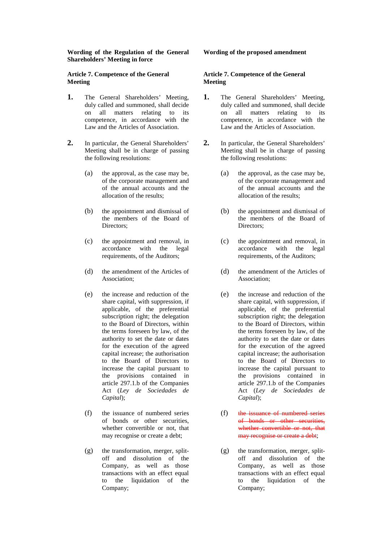#### **Wording of the Regulation of the General Shareholders' Meeting in force**

### **Article 7. Competence of the General Meeting**

- **1.** The General Shareholders' Meeting, duly called and summoned, shall decide on all matters relating to its competence, in accordance with the Law and the Articles of Association.
- **2.** In particular, the General Shareholders' Meeting shall be in charge of passing the following resolutions:
	- (a) the approval, as the case may be, of the corporate management and of the annual accounts and the allocation of the results;
	- (b) the appointment and dismissal of the members of the Board of Directors:
	- (c) the appointment and removal, in accordance with the legal requirements, of the Auditors;
	- (d) the amendment of the Articles of Association;
	- (e) the increase and reduction of the share capital, with suppression, if applicable, of the preferential subscription right; the delegation to the Board of Directors, within the terms foreseen by law, of the authority to set the date or dates for the execution of the agreed capital increase; the authorisation to the Board of Directors to increase the capital pursuant to the provisions contained in article 297.1.b of the Companies Act (*Ley de Sociedades de Capital*);
	- (f) the issuance of numbered series of bonds or other securities, whether convertible or not, that may recognise or create a debt;
	- (g) the transformation, merger, splitoff and dissolution of the Company, as well as those transactions with an effect equal to the liquidation of the Company;

### **Wording of the proposed amendment**

#### **Article 7. Competence of the General Meeting**

- **1.** The General Shareholders' Meeting, duly called and summoned, shall decide<br>on all matters relating to its matters relating to its competence, in accordance with the Law and the Articles of Association.
- **2.** In particular, the General Shareholders' Meeting shall be in charge of passing the following resolutions:
	- (a) the approval, as the case may be, of the corporate management and of the annual accounts and the allocation of the results;
	- (b) the appointment and dismissal of the members of the Board of Directors:
	- (c) the appointment and removal, in accordance with the legal requirements, of the Auditors;
	- (d) the amendment of the Articles of Association;
	- (e) the increase and reduction of the share capital, with suppression, if applicable, of the preferential subscription right; the delegation to the Board of Directors, within the terms foreseen by law, of the authority to set the date or dates for the execution of the agreed capital increase; the authorisation to the Board of Directors to increase the capital pursuant to the provisions contained in article 297.1.b of the Companies Act (*Ley de Sociedades de Capital*);
	- (f) the issuance of numbered series of bonds or other securities, whether convertible or not, that may recognise or create a debt;
	- (g) the transformation, merger, splitoff and dissolution of the Company, as well as those transactions with an effect equal to the liquidation of the Company;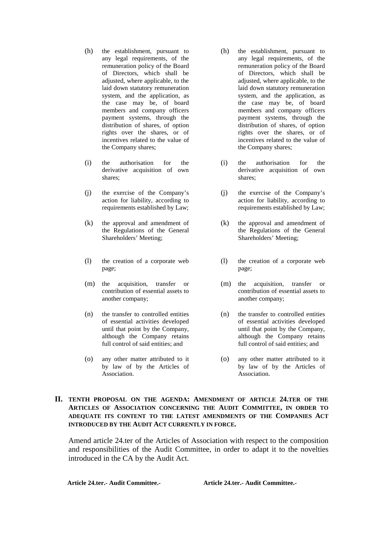- (h) the establishment, pursuant to any legal requirements, of the remuneration policy of the Board of Directors, which shall be adjusted, where applicable, to the laid down statutory remuneration system, and the application, as the case may be, of board members and company officers payment systems, through the distribution of shares, of option rights over the shares, or of incentives related to the value of the Company shares;
- (i) the authorisation for the derivative acquisition of own shares;
- (j) the exercise of the Company's action for liability, according to requirements established by Law;
- (k) the approval and amendment of the Regulations of the General Shareholders' Meeting;
- (l) the creation of a corporate web page;
- (m) the acquisition, transfer or contribution of essential assets to another company;
- (n) the transfer to controlled entities of essential activities developed until that point by the Company, although the Company retains full control of said entities; and
- (o) any other matter attributed to it by law of by the Articles of Association.
- (h) the establishment, pursuant to any legal requirements, of the remuneration policy of the Board of Directors, which shall be adjusted, where applicable, to the laid down statutory remuneration system, and the application, as the case may be, of board members and company officers payment systems, through the distribution of shares, of option rights over the shares, or of incentives related to the value of the Company shares;
- (i) the authorisation for the derivative acquisition of own shares;
- (j) the exercise of the Company's action for liability, according to requirements established by Law;
- (k) the approval and amendment of the Regulations of the General Shareholders' Meeting;
- (l) the creation of a corporate web page;
- (m) the acquisition, transfer or contribution of essential assets to another company;
- (n) the transfer to controlled entities of essential activities developed until that point by the Company, although the Company retains full control of said entities; and
- (o) any other matter attributed to it by law of by the Articles of Association.

# **II. TENTH PROPOSAL ON THE AGENDA: AMENDMENT OF ARTICLE 24.TER OF THE ARTICLES OF ASSOCIATION CONCERNING THE AUDIT COMMITTEE, IN ORDER TO ADEQUATE ITS CONTENT TO THE LATEST AMENDMENTS OF THE COMPANIES ACT INTRODUCED BY THE AUDIT ACT CURRENTLY IN FORCE.**

Amend article 24.ter of the Articles of Association with respect to the composition and responsibilities of the Audit Committee, in order to adapt it to the novelties introduced in the CA by the Audit Act.

**Article 24.ter.- Audit Committee.- Article 24.ter.- Audit Committee.-**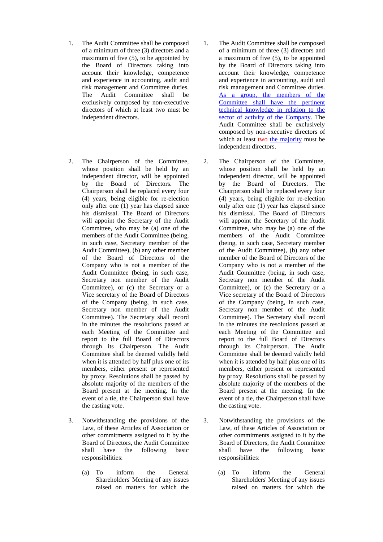- 1. The Audit Committee shall be composed of a minimum of three (3) directors and a maximum of five (5), to be appointed by the Board of Directors taking into account their knowledge, competence and experience in accounting, audit and risk management and Committee duties. The Audit Committee shall be exclusively composed by non-executive directors of which at least two must be independent directors.
- 2. The Chairperson of the Committee, whose position shall be held by an independent director, will be appointed by the Board of Directors. The Chairperson shall be replaced every four (4) years, being eligible for re-election only after one (1) year has elapsed since his dismissal. The Board of Directors will appoint the Secretary of the Audit Committee, who may be (a) one of the members of the Audit Committee (being, in such case, Secretary member of the Audit Committee), (b) any other member of the Board of Directors of the Company who is not a member of the Audit Committee (being, in such case, Secretary non member of the Audit Committee), or (c) the Secretary or a Vice secretary of the Board of Directors of the Company (being, in such case, Secretary non member of the Audit Committee). The Secretary shall record in the minutes the resolutions passed at each Meeting of the Committee and report to the full Board of Directors through its Chairperson. The Audit Committee shall be deemed validly held when it is attended by half plus one of its members, either present or represented by proxy. Resolutions shall be passed by absolute majority of the members of the Board present at the meeting. In the event of a tie, the Chairperson shall have the casting vote.
- 3. Notwithstanding the provisions of the Law, of these Articles of Association or other commitments assigned to it by the Board of Directors, the Audit Committee<br>
shall have the following basic shall have the following basic responsibilities:
	- (a) To inform the General Shareholders' Meeting of any issues raised on matters for which the
- 1. The Audit Committee shall be composed of a minimum of three (3) directors and a maximum of five (5), to be appointed by the Board of Directors taking into account their knowledge, competence and experience in accounting, audit and risk management and Committee duties. As a group, the members of the Committee shall have the pertinent technical knowledge in relation to the sector of activity of the Company. The Audit Committee shall be exclusively composed by non-executive directors of which at least two the majority must be independent directors.
- 2. The Chairperson of the Committee, whose position shall be held by an independent director, will be appointed by the Board of Directors. The Chairperson shall be replaced every four (4) years, being eligible for re-election only after one (1) year has elapsed since his dismissal. The Board of Directors will appoint the Secretary of the Audit Committee, who may be (a) one of the members of the Audit Committee (being, in such case, Secretary member of the Audit Committee), (b) any other member of the Board of Directors of the Company who is not a member of the Audit Committee (being, in such case, Secretary non member of the Audit Committee), or (c) the Secretary or a Vice secretary of the Board of Directors of the Company (being, in such case, Secretary non member of the Audit Committee). The Secretary shall record in the minutes the resolutions passed at each Meeting of the Committee and report to the full Board of Directors through its Chairperson. The Audit Committee shall be deemed validly held when it is attended by half plus one of its members, either present or represented by proxy. Resolutions shall be passed by absolute majority of the members of the Board present at the meeting. In the event of a tie, the Chairperson shall have the casting vote.
- 3. Notwithstanding the provisions of the Law, of these Articles of Association or other commitments assigned to it by the Board of Directors, the Audit Committee<br>
shall have the following basic shall have the following basic responsibilities:
	- (a) To inform the General Shareholders' Meeting of any issues raised on matters for which the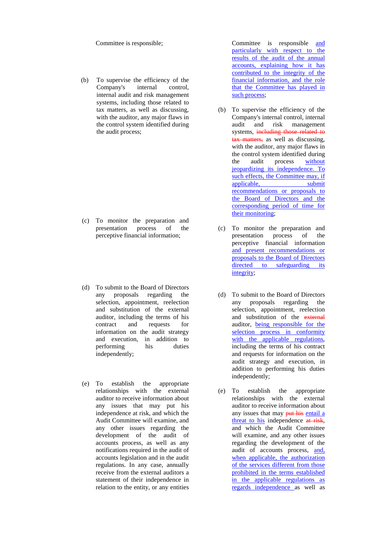Committee is responsible;

(b) To supervise the efficiency of the Company's internal control, internal audit and risk management systems, including those related to tax matters, as well as discussing, with the auditor, any major flaws in the control system identified during the audit process;

- (c) To monitor the preparation and presentation process of the perceptive financial information;
- (d) To submit to the Board of Directors any proposals regarding the selection, appointment, reelection and substitution of the external auditor, including the terms of his<br>contract and requests for contract and requests for information on the audit strategy and execution, in addition to performing his duties independently;
- (e) To establish the appropriate relationships with the external auditor to receive information about any issues that may put his independence at risk, and which the Audit Committee will examine, and any other issues regarding the development of the audit of accounts process, as well as any notifications required in the audit of accounts legislation and in the audit regulations. In any case, annually receive from the external auditors a statement of their independence in relation to the entity, or any entities

Committee is responsible and particularly with respect to the results of the audit of the annual accounts, explaining how it has contributed to the integrity of the financial information, and the role that the Committee has played in such process;

- (b) To supervise the efficiency of the Company's internal control, internal audit and risk management systems, including those related to tax matters, as well as discussing, with the auditor, any major flaws in the control system identified during<br>the audit process without the audit process jeopardizing its independence. To such effects, the Committee may, if applicable, submit recommendations or proposals to the Board of Directors and the corresponding period of time for their monitoring;
- (c) To monitor the preparation and presentation perceptive financial information and present recommendations or proposals to the Board of Directors directed to safeguarding its integrity;
- (d) To submit to the Board of Directors any proposals regarding the selection, appointment, reelection and substitution of the external auditor, being responsible for the selection process in conformity with the applicable regulations, including the terms of his contract and requests for information on the audit strategy and execution, in addition to performing his duties independently;
- (e) To establish the appropriate relationships with the external auditor to receive information about any issues that may put his entail a threat to his independence at risk, and which the Audit Committee will examine, and any other issues regarding the development of the audit of accounts process, and, when applicable, the authorization of the services different from those prohibited in the terms established in the applicable regulations as regards independence as well as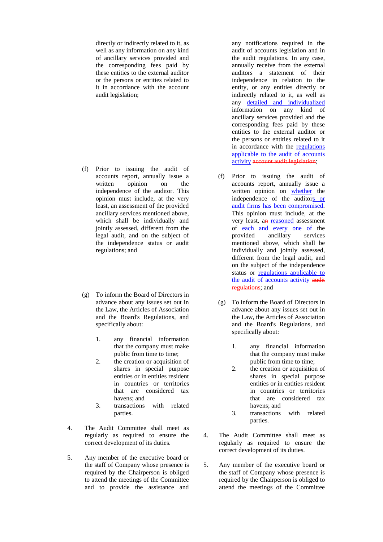directly or indirectly related to it, as well as any information on any kind of ancillary services provided and the corresponding fees paid by these entities to the external auditor or the persons or entities related to it in accordance with the account audit legislation;

- (f) Prior to issuing the audit of accounts report, annually issue a written opinion on the independence of the auditor. This opinion must include, at the very least, an assessment of the provided ancillary services mentioned above, which shall be individually and jointly assessed, different from the legal audit, and on the subject of the independence status or audit regulations; and
- (g) To inform the Board of Directors in advance about any issues set out in the Law, the Articles of Association and the Board's Regulations, and specifically about:
	- 1. any financial information that the company must make public from time to time;
	- 2. the creation or acquisition of shares in special purpose entities or in entities resident in countries or territories that are considered tax havens; and
	- 3. transactions with related parties.
- 4. The Audit Committee shall meet as regularly as required to ensure the correct development of its duties.
- 5. Any member of the executive board or the staff of Company whose presence is required by the Chairperson is obliged to attend the meetings of the Committee and to provide the assistance and

any notifications required in the audit of accounts legislation and in the audit regulations. In any case, annually receive from the external auditors a statement of their independence in relation to the entity, or any entities directly or indirectly related to it, as well as any detailed and individualized information on any kind of ancillary services provided and the corresponding fees paid by these entities to the external auditor or the persons or entities related to it in accordance with the regulations applicable to the audit of accounts activity account audit legislation:

- (f) Prior to issuing the audit of accounts report, annually issue a written opinion on whether the independence of the auditors or audit firms has been compromised. This opinion must include, at the very least, an reasoned assessment of each and every one of the<br>provided ancillary services ancillary mentioned above, which shall be individually and jointly assessed, different from the legal audit, and on the subject of the independence status or regulations applicable to the audit of accounts activity audit regulations; and
- (g) To inform the Board of Directors in advance about any issues set out in the Law, the Articles of Association and the Board's Regulations, and specifically about:
	- 1. any financial information that the company must make public from time to time;
	- 2. the creation or acquisition of shares in special purpose entities or in entities resident in countries or territories that are considered tax havens; and
	- 3. transactions with related parties.
- 4. The Audit Committee shall meet as regularly as required to ensure the correct development of its duties.
- 5. Any member of the executive board or the staff of Company whose presence is required by the Chairperson is obliged to attend the meetings of the Committee